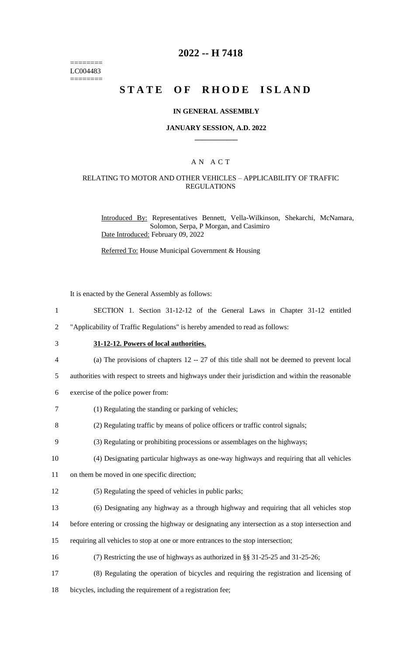======== LC004483 ========

### **2022 -- H 7418**

# **STATE OF RHODE ISLAND**

#### **IN GENERAL ASSEMBLY**

#### **JANUARY SESSION, A.D. 2022 \_\_\_\_\_\_\_\_\_\_\_\_**

#### A N A C T

#### RELATING TO MOTOR AND OTHER VEHICLES – APPLICABILITY OF TRAFFIC REGULATIONS

Introduced By: Representatives Bennett, Vella-Wilkinson, Shekarchi, McNamara, Solomon, Serpa, P Morgan, and Casimiro Date Introduced: February 09, 2022

Referred To: House Municipal Government & Housing

It is enacted by the General Assembly as follows:

1 SECTION 1. Section 31-12-12 of the General Laws in Chapter 31-12 entitled

2 "Applicability of Traffic Regulations" is hereby amended to read as follows:

# 3 **31-12-12. Powers of local authorities.**

- 4 (a) The provisions of chapters 12 -- 27 of this title shall not be deemed to prevent local
- 5 authorities with respect to streets and highways under their jurisdiction and within the reasonable
- 6 exercise of the police power from:
- 7 (1) Regulating the standing or parking of vehicles;
- 8 (2) Regulating traffic by means of police officers or traffic control signals;
- 9 (3) Regulating or prohibiting processions or assemblages on the highways;
- 10 (4) Designating particular highways as one-way highways and requiring that all vehicles
- 11 on them be moved in one specific direction;
- 12 (5) Regulating the speed of vehicles in public parks;
- 13 (6) Designating any highway as a through highway and requiring that all vehicles stop
- 14 before entering or crossing the highway or designating any intersection as a stop intersection and
- 15 requiring all vehicles to stop at one or more entrances to the stop intersection;
- 16 (7) Restricting the use of highways as authorized in §§ 31-25-25 and 31-25-26;
- 17 (8) Regulating the operation of bicycles and requiring the registration and licensing of
- 18 bicycles, including the requirement of a registration fee;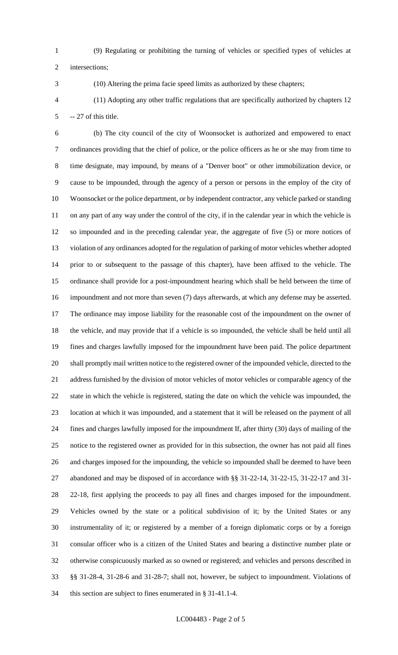(9) Regulating or prohibiting the turning of vehicles or specified types of vehicles at

intersections;

(10) Altering the prima facie speed limits as authorized by these chapters;

 (11) Adopting any other traffic regulations that are specifically authorized by chapters 12 -- 27 of this title.

 (b) The city council of the city of Woonsocket is authorized and empowered to enact ordinances providing that the chief of police, or the police officers as he or she may from time to time designate, may impound, by means of a "Denver boot" or other immobilization device, or cause to be impounded, through the agency of a person or persons in the employ of the city of Woonsocket or the police department, or by independent contractor, any vehicle parked or standing on any part of any way under the control of the city, if in the calendar year in which the vehicle is so impounded and in the preceding calendar year, the aggregate of five (5) or more notices of violation of any ordinances adopted for the regulation of parking of motor vehicles whether adopted prior to or subsequent to the passage of this chapter), have been affixed to the vehicle. The ordinance shall provide for a post-impoundment hearing which shall be held between the time of impoundment and not more than seven (7) days afterwards, at which any defense may be asserted. The ordinance may impose liability for the reasonable cost of the impoundment on the owner of the vehicle, and may provide that if a vehicle is so impounded, the vehicle shall be held until all fines and charges lawfully imposed for the impoundment have been paid. The police department shall promptly mail written notice to the registered owner of the impounded vehicle, directed to the address furnished by the division of motor vehicles of motor vehicles or comparable agency of the state in which the vehicle is registered, stating the date on which the vehicle was impounded, the location at which it was impounded, and a statement that it will be released on the payment of all fines and charges lawfully imposed for the impoundment If, after thirty (30) days of mailing of the notice to the registered owner as provided for in this subsection, the owner has not paid all fines and charges imposed for the impounding, the vehicle so impounded shall be deemed to have been abandoned and may be disposed of in accordance with §§ 31-22-14, 31-22-15, 31-22-17 and 31- 22-18, first applying the proceeds to pay all fines and charges imposed for the impoundment. Vehicles owned by the state or a political subdivision of it; by the United States or any instrumentality of it; or registered by a member of a foreign diplomatic corps or by a foreign consular officer who is a citizen of the United States and bearing a distinctive number plate or otherwise conspicuously marked as so owned or registered; and vehicles and persons described in §§ 31-28-4, 31-28-6 and 31-28-7; shall not, however, be subject to impoundment. Violations of this section are subject to fines enumerated in § 31-41.1-4.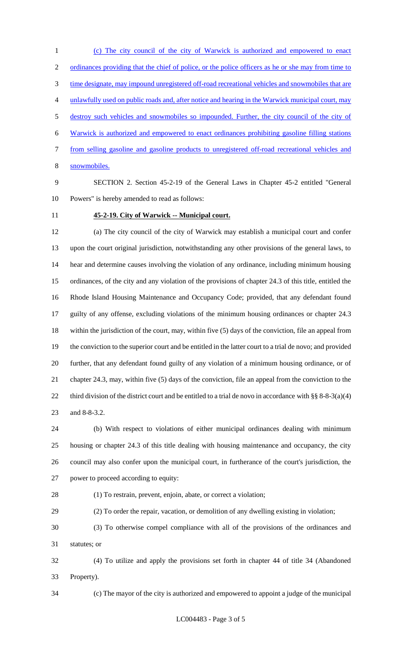(c) The city council of the city of Warwick is authorized and empowered to enact 2 ordinances providing that the chief of police, or the police officers as he or she may from time to 3 time designate, may impound unregistered off-road recreational vehicles and snowmobiles that are unlawfully used on public roads and, after notice and hearing in the Warwick municipal court, may destroy such vehicles and snowmobiles so impounded. Further, the city council of the city of Warwick is authorized and empowered to enact ordinances prohibiting gasoline filling stations from selling gasoline and gasoline products to unregistered off-road recreational vehicles and snowmobiles.

 SECTION 2. Section 45-2-19 of the General Laws in Chapter 45-2 entitled "General Powers" is hereby amended to read as follows:

#### **45-2-19. City of Warwick -- Municipal court.**

 (a) The city council of the city of Warwick may establish a municipal court and confer upon the court original jurisdiction, notwithstanding any other provisions of the general laws, to hear and determine causes involving the violation of any ordinance, including minimum housing ordinances, of the city and any violation of the provisions of chapter 24.3 of this title, entitled the Rhode Island Housing Maintenance and Occupancy Code; provided, that any defendant found guilty of any offense, excluding violations of the minimum housing ordinances or chapter 24.3 within the jurisdiction of the court, may, within five (5) days of the conviction, file an appeal from the conviction to the superior court and be entitled in the latter court to a trial de novo; and provided further, that any defendant found guilty of any violation of a minimum housing ordinance, or of chapter 24.3, may, within five (5) days of the conviction, file an appeal from the conviction to the 22 third division of the district court and be entitled to a trial de novo in accordance with §§ 8-8-3(a)(4) and 8-8-3.2.

 (b) With respect to violations of either municipal ordinances dealing with minimum housing or chapter 24.3 of this title dealing with housing maintenance and occupancy, the city council may also confer upon the municipal court, in furtherance of the court's jurisdiction, the power to proceed according to equity:

(1) To restrain, prevent, enjoin, abate, or correct a violation;

(2) To order the repair, vacation, or demolition of any dwelling existing in violation;

 (3) To otherwise compel compliance with all of the provisions of the ordinances and statutes; or

 (4) To utilize and apply the provisions set forth in chapter 44 of title 34 (Abandoned Property).

(c) The mayor of the city is authorized and empowered to appoint a judge of the municipal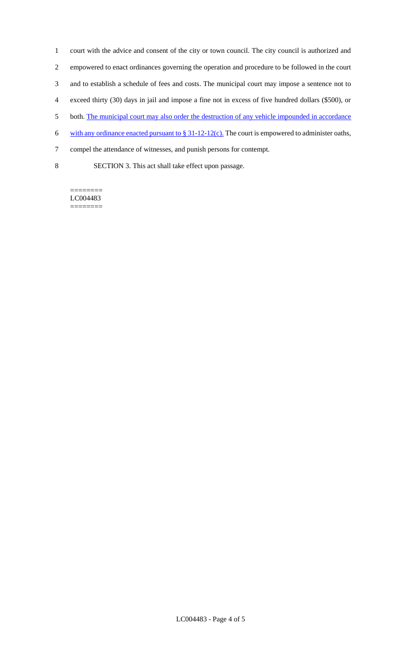court with the advice and consent of the city or town council. The city council is authorized and empowered to enact ordinances governing the operation and procedure to be followed in the court and to establish a schedule of fees and costs. The municipal court may impose a sentence not to exceed thirty (30) days in jail and impose a fine not in excess of five hundred dollars (\$500), or 5 both. The municipal court may also order the destruction of any vehicle impounded in accordance 6 with any ordinance enacted pursuant to  $\S 31-12-12(c)$ . The court is empowered to administer oaths, compel the attendance of witnesses, and punish persons for contempt.

8 SECTION 3. This act shall take effect upon passage.

======== LC004483 ========